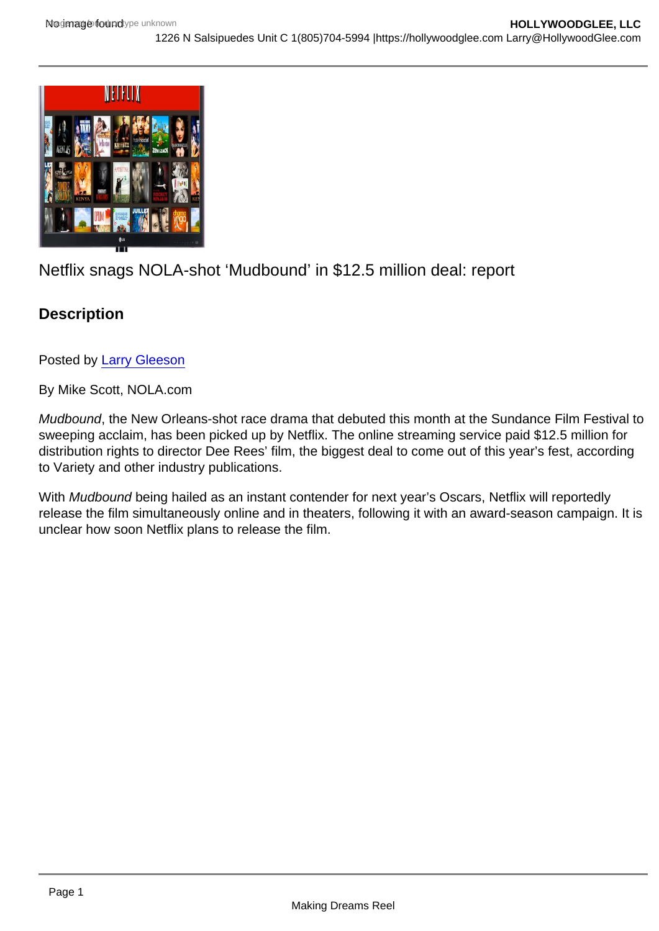## Netflix snags NOLA-shot 'Mudbound' in \$12.5 million deal: report

**Description** 

Posted by [Larry Gleeson](http://sbccfilmreviews.org/?s=Larry+Gleeson)

By Mike Scott, NOLA.com

Mudbound, the New Orleans-shot race drama that debuted this month at the Sundance Film Festival to sweeping acclaim, has been picked up by Netflix. The online streaming service paid \$12.5 million for distribution rights to director Dee Rees' film, the biggest deal to come out of this year's fest, according to Variety and other industry publications.

With Mudbound being hailed as an instant contender for next year's Oscars, Netflix will reportedly release the film simultaneously online and in theaters, following it with an award-season campaign. It is unclear how soon Netflix plans to release the film.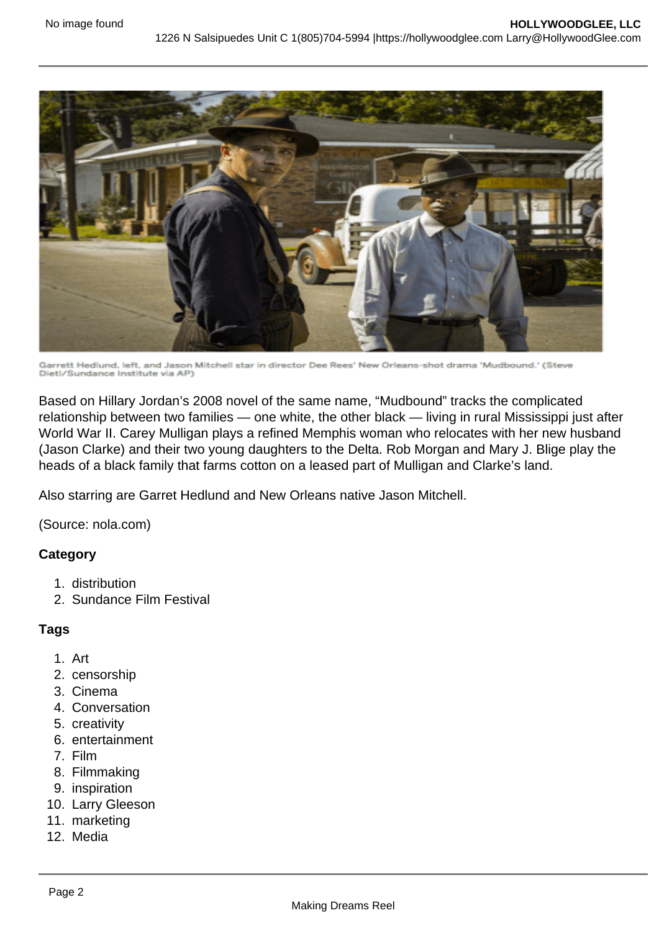

Garrett Hedlund, left, and Jason Mitchell star in director Dee Rees' New Orleans-shot drama 'Mudbound.' (Steve<br>Dietl/Sundance Institute via AP)

Based on Hillary Jordan's 2008 novel of the same name, "Mudbound" tracks the complicated relationship between two families — one white, the other black — living in rural Mississippi just after World War II. Carey Mulligan plays a refined Memphis woman who relocates with her new husband (Jason Clarke) and their two young daughters to the Delta. Rob Morgan and Mary J. Blige play the heads of a black family that farms cotton on a leased part of Mulligan and Clarke's land.

Also starring are Garret Hedlund and New Orleans native Jason Mitchell.

(Source: nola.com)

## **Category**

- 1. distribution
- 2. Sundance Film Festival

## **Tags**

- 1. Art
- 2. censorship
- 3. Cinema
- 4. Conversation
- 5. creativity
- 6. entertainment
- 7. Film
- 8. Filmmaking
- 9. inspiration
- 10. Larry Gleeson
- 11. marketing
- 12. Media